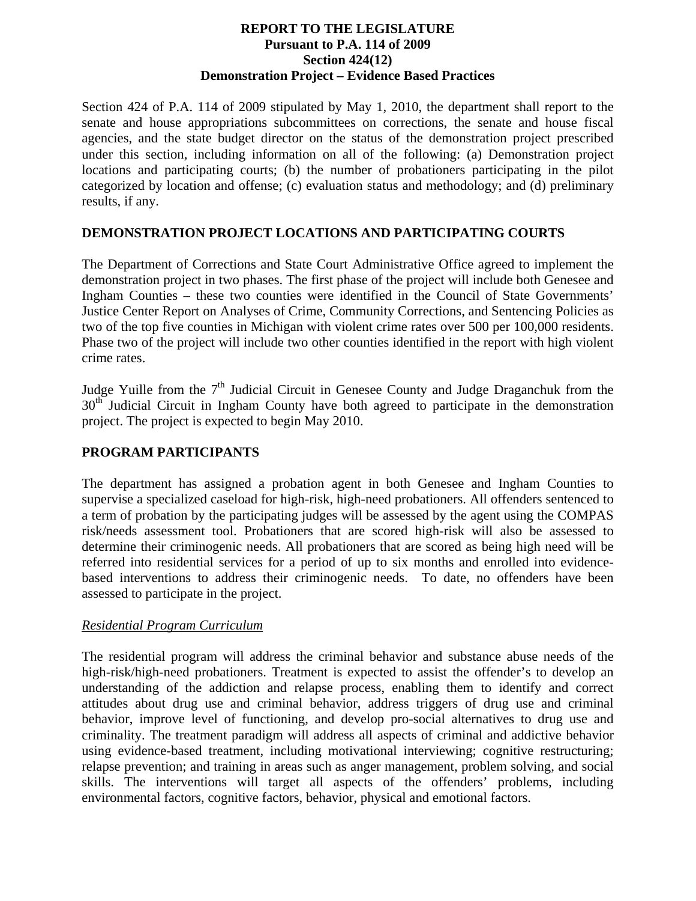#### **REPORT TO THE LEGISLATURE Pursuant to P.A. 114 of 2009 Section 424(12) Demonstration Project – Evidence Based Practices**

Section 424 of P.A. 114 of 2009 stipulated by May 1, 2010, the department shall report to the senate and house appropriations subcommittees on corrections, the senate and house fiscal agencies, and the state budget director on the status of the demonstration project prescribed under this section, including information on all of the following: (a) Demonstration project locations and participating courts; (b) the number of probationers participating in the pilot categorized by location and offense; (c) evaluation status and methodology; and (d) preliminary results, if any.

## **DEMONSTRATION PROJECT LOCATIONS AND PARTICIPATING COURTS**

The Department of Corrections and State Court Administrative Office agreed to implement the demonstration project in two phases. The first phase of the project will include both Genesee and Ingham Counties – these two counties were identified in the Council of State Governments' Justice Center Report on Analyses of Crime, Community Corrections, and Sentencing Policies as two of the top five counties in Michigan with violent crime rates over 500 per 100,000 residents. Phase two of the project will include two other counties identified in the report with high violent crime rates.

Judge Yuille from the  $7<sup>th</sup>$  Judicial Circuit in Genesee County and Judge Draganchuk from the  $30<sup>th</sup>$  Judicial Circuit in Ingham County have both agreed to participate in the demonstration project. The project is expected to begin May 2010.

## **PROGRAM PARTICIPANTS**

The department has assigned a probation agent in both Genesee and Ingham Counties to supervise a specialized caseload for high-risk, high-need probationers. All offenders sentenced to a term of probation by the participating judges will be assessed by the agent using the COMPAS risk/needs assessment tool. Probationers that are scored high-risk will also be assessed to determine their criminogenic needs. All probationers that are scored as being high need will be referred into residential services for a period of up to six months and enrolled into evidencebased interventions to address their criminogenic needs. To date, no offenders have been assessed to participate in the project.

#### *Residential Program Curriculum*

The residential program will address the criminal behavior and substance abuse needs of the high-risk/high-need probationers. Treatment is expected to assist the offender's to develop an understanding of the addiction and relapse process, enabling them to identify and correct attitudes about drug use and criminal behavior, address triggers of drug use and criminal behavior, improve level of functioning, and develop pro-social alternatives to drug use and criminality. The treatment paradigm will address all aspects of criminal and addictive behavior using evidence-based treatment, including motivational interviewing; cognitive restructuring; relapse prevention; and training in areas such as anger management, problem solving, and social skills. The interventions will target all aspects of the offenders' problems, including environmental factors, cognitive factors, behavior, physical and emotional factors.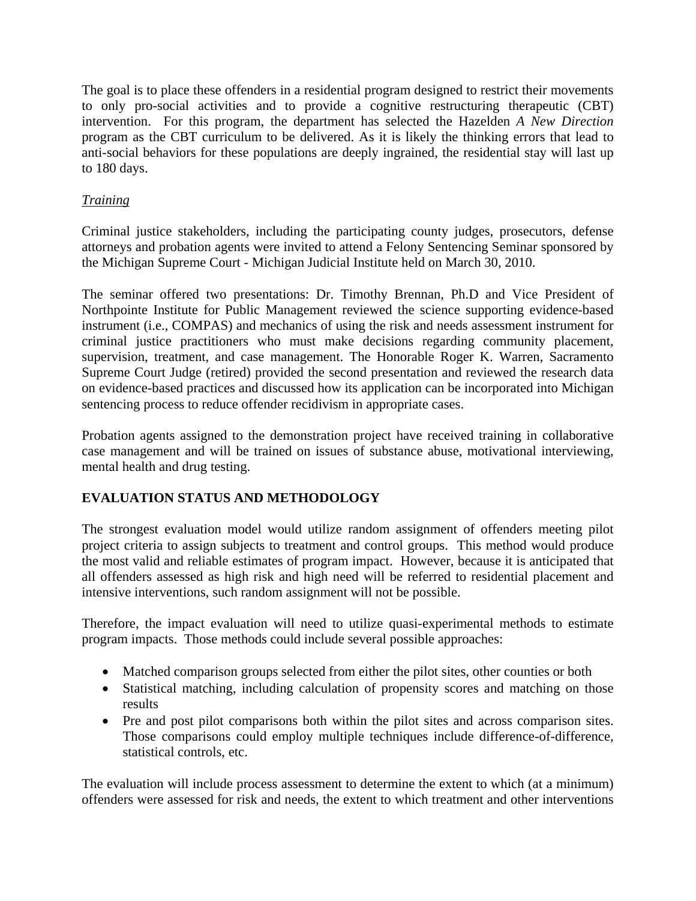The goal is to place these offenders in a residential program designed to restrict their movements to only pro-social activities and to provide a cognitive restructuring therapeutic (CBT) intervention. For this program, the department has selected the Hazelden *A New Direction* program as the CBT curriculum to be delivered. As it is likely the thinking errors that lead to anti-social behaviors for these populations are deeply ingrained, the residential stay will last up to 180 days.

## *Training*

Criminal justice stakeholders, including the participating county judges, prosecutors, defense attorneys and probation agents were invited to attend a Felony Sentencing Seminar sponsored by the Michigan Supreme Court - Michigan Judicial Institute held on March 30, 2010.

The seminar offered two presentations: Dr. Timothy Brennan, Ph.D and Vice President of Northpointe Institute for Public Management reviewed the science supporting evidence-based instrument (i.e., COMPAS) and mechanics of using the risk and needs assessment instrument for criminal justice practitioners who must make decisions regarding community placement, supervision, treatment, and case management. The Honorable Roger K. Warren, Sacramento Supreme Court Judge (retired) provided the second presentation and reviewed the research data on evidence-based practices and discussed how its application can be incorporated into Michigan sentencing process to reduce offender recidivism in appropriate cases.

Probation agents assigned to the demonstration project have received training in collaborative case management and will be trained on issues of substance abuse, motivational interviewing, mental health and drug testing.

# **EVALUATION STATUS AND METHODOLOGY**

The strongest evaluation model would utilize random assignment of offenders meeting pilot project criteria to assign subjects to treatment and control groups. This method would produce the most valid and reliable estimates of program impact. However, because it is anticipated that all offenders assessed as high risk and high need will be referred to residential placement and intensive interventions, such random assignment will not be possible.

Therefore, the impact evaluation will need to utilize quasi-experimental methods to estimate program impacts. Those methods could include several possible approaches:

- Matched comparison groups selected from either the pilot sites, other counties or both
- Statistical matching, including calculation of propensity scores and matching on those results
- Pre and post pilot comparisons both within the pilot sites and across comparison sites. Those comparisons could employ multiple techniques include difference-of-difference, statistical controls, etc.

The evaluation will include process assessment to determine the extent to which (at a minimum) offenders were assessed for risk and needs, the extent to which treatment and other interventions